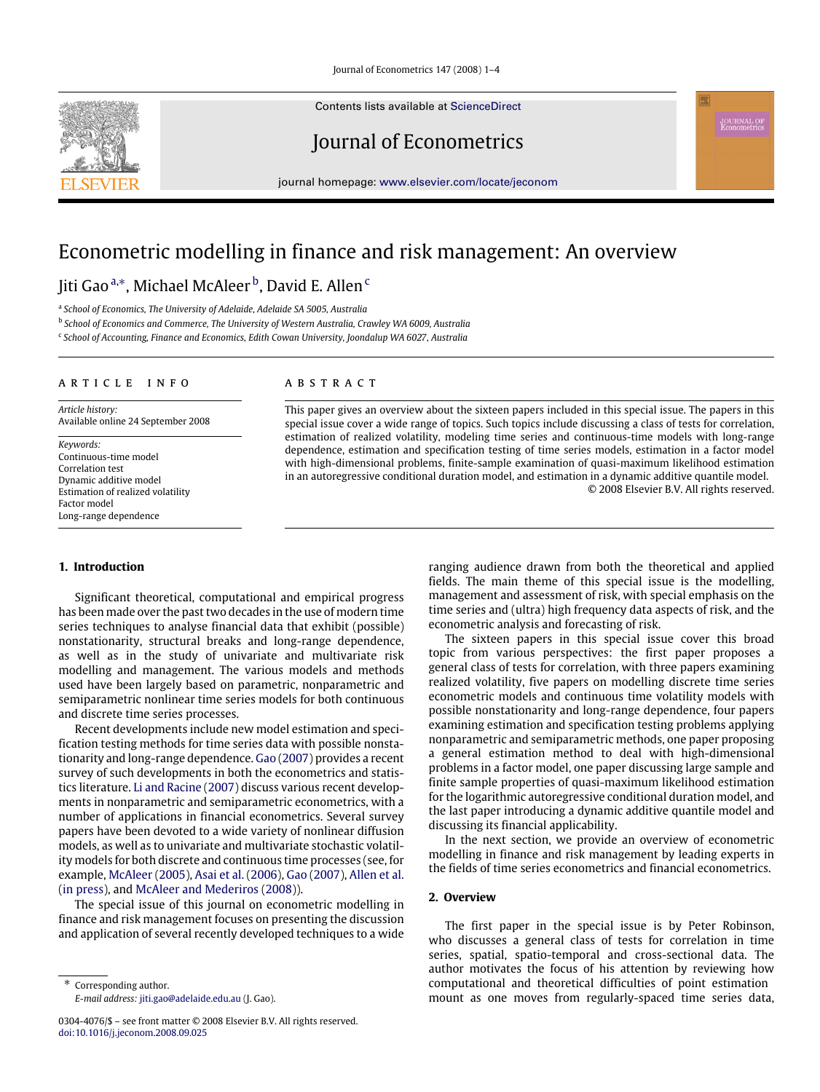Contents lists available at [ScienceDirect](http://www.elsevier.com/locate/jeconom)

Journal of Econometrics

journal homepage: [www.elsevier.com/locate/jeconom](http://www.elsevier.com/locate/jeconom)

# Econometric modelling in finance and risk management: An overview

## Jiti Gao ª,\*, Michael McAleer <sup>[b](#page-0-2)</sup>, David E. Allen <sup>[c](#page-0-3)</sup>

<span id="page-0-0"></span>a *School of Economics, The University of Adelaide, Adelaide SA 5005, Australia*

<span id="page-0-2"></span>b *School of Economics and Commerce, The University of Western Australia, Crawley WA 6009, Australia*

<span id="page-0-3"></span><sup>c</sup> School of Accounting, Finance and Economics, Edith Cowan University, Joondalup WA 6027, Australia

#### ARTICLE INFO

*Article history:* Available online 24 September 2008

*Keywords:* Continuous-time model Correlation test Dynamic additive model Estimation of realized volatility Factor model Long-range dependence

### a b s t r a c t

This paper gives an overview about the sixteen papers included in this special issue. The papers in this special issue cover a wide range of topics. Such topics include discussing a class of tests for correlation, estimation of realized volatility, modeling time series and continuous-time models with long-range dependence, estimation and specification testing of time series models, estimation in a factor model with high-dimensional problems, finite-sample examination of quasi-maximum likelihood estimation in an autoregressive conditional duration model, and estimation in a dynamic additive quantile model. © 2008 Elsevier B.V. All rights reserved.

#### **1. Introduction**

Significant theoretical, computational and empirical progress has been made over the past two decades in the use of modern time series techniques to analyse financial data that exhibit (possible) nonstationarity, structural breaks and long-range dependence, as well as in the study of univariate and multivariate risk modelling and management. The various models and methods used have been largely based on parametric, nonparametric and semiparametric nonlinear time series models for both continuous and discrete time series processes.

Recent developments include new model estimation and specification testing methods for time series data with possible nonstationarity and long-range dependence. [Gao](#page--1-0) [\(2007\)](#page--1-0) provides a recent survey of such developments in both the econometrics and statistics literature. [Li](#page--1-1) [and](#page--1-1) [Racine](#page--1-1) [\(2007\)](#page--1-1) discuss various recent developments in nonparametric and semiparametric econometrics, with a number of applications in financial econometrics. Several survey papers have been devoted to a wide variety of nonlinear diffusion models, as well as to univariate and multivariate stochastic volatility models for both discrete and continuous time processes (see, for example, [McAleer](#page--1-2) [\(2005\)](#page--1-2), [Asai](#page--1-3) [et al.](#page--1-3) [\(2006\)](#page--1-3), [Gao](#page--1-0) [\(2007\)](#page--1-0), [Allen](#page--1-4) [et al.](#page--1-4) [\(in press\)](#page--1-4), and [McAleer](#page--1-5) [and](#page--1-5) [Mederiros](#page--1-5) [\(2008\)](#page--1-5)).

The special issue of this journal on econometric modelling in finance and risk management focuses on presenting the discussion and application of several recently developed techniques to a wide

<span id="page-0-1"></span>Corresponding author. *E-mail address:* [jiti.gao@adelaide.edu.au](mailto:jiti.gao@adelaide.edu.au) (J. Gao). ranging audience drawn from both the theoretical and applied fields. The main theme of this special issue is the modelling, management and assessment of risk, with special emphasis on the time series and (ultra) high frequency data aspects of risk, and the econometric analysis and forecasting of risk.

The sixteen papers in this special issue cover this broad topic from various perspectives: the first paper proposes a general class of tests for correlation, with three papers examining realized volatility, five papers on modelling discrete time series econometric models and continuous time volatility models with possible nonstationarity and long-range dependence, four papers examining estimation and specification testing problems applying nonparametric and semiparametric methods, one paper proposing a general estimation method to deal with high-dimensional problems in a factor model, one paper discussing large sample and finite sample properties of quasi-maximum likelihood estimation for the logarithmic autoregressive conditional duration model, and the last paper introducing a dynamic additive quantile model and discussing its financial applicability.

In the next section, we provide an overview of econometric modelling in finance and risk management by leading experts in the fields of time series econometrics and financial econometrics.

### **2. Overview**

The first paper in the special issue is by Peter Robinson, who discusses a general class of tests for correlation in time series, spatial, spatio-temporal and cross-sectional data. The author motivates the focus of his attention by reviewing how computational and theoretical difficulties of point estimation mount as one moves from regularly-spaced time series data,



<sup>0304-4076/\$ –</sup> see front matter © 2008 Elsevier B.V. All rights reserved. [doi:10.1016/j.jeconom.2008.09.025](http://dx.doi.org/10.1016/j.jeconom.2008.09.025)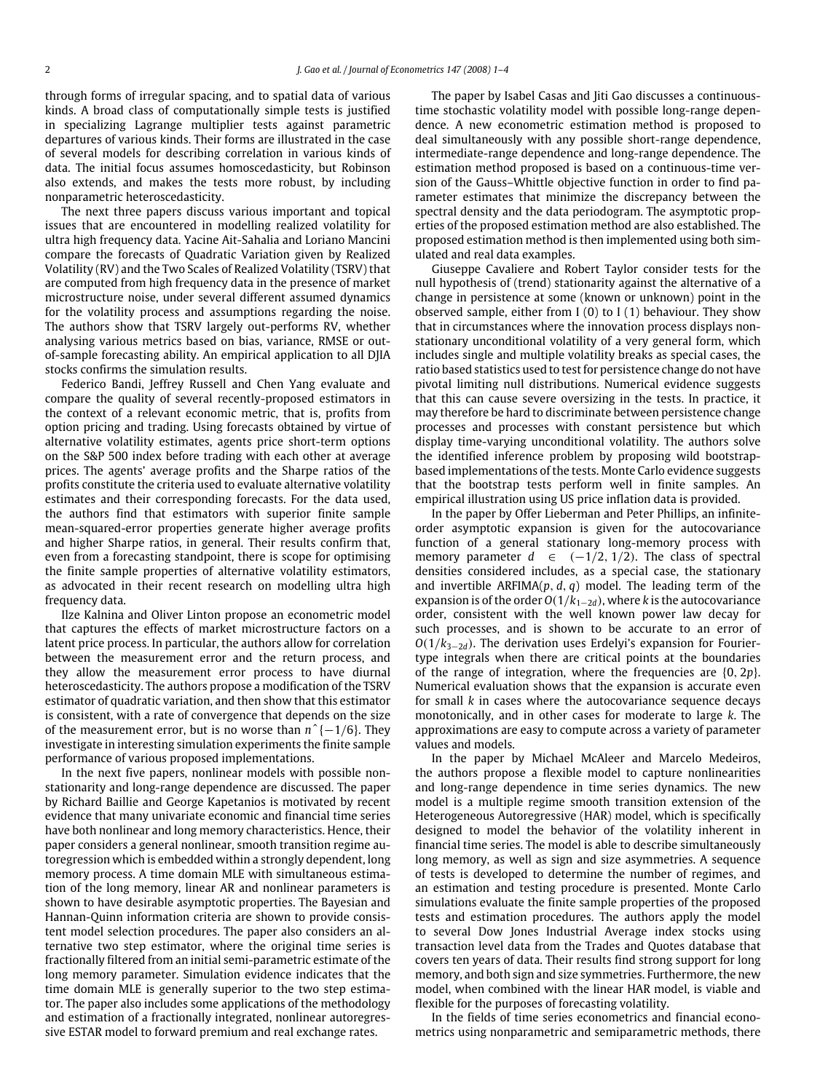through forms of irregular spacing, and to spatial data of various kinds. A broad class of computationally simple tests is justified in specializing Lagrange multiplier tests against parametric departures of various kinds. Their forms are illustrated in the case of several models for describing correlation in various kinds of data. The initial focus assumes homoscedasticity, but Robinson also extends, and makes the tests more robust, by including nonparametric heteroscedasticity.

The next three papers discuss various important and topical issues that are encountered in modelling realized volatility for ultra high frequency data. Yacine Ait-Sahalia and Loriano Mancini compare the forecasts of Quadratic Variation given by Realized Volatility (RV) and the Two Scales of Realized Volatility (TSRV) that are computed from high frequency data in the presence of market microstructure noise, under several different assumed dynamics for the volatility process and assumptions regarding the noise. The authors show that TSRV largely out-performs RV, whether analysing various metrics based on bias, variance, RMSE or outof-sample forecasting ability. An empirical application to all DJIA stocks confirms the simulation results.

Federico Bandi, Jeffrey Russell and Chen Yang evaluate and compare the quality of several recently-proposed estimators in the context of a relevant economic metric, that is, profits from option pricing and trading. Using forecasts obtained by virtue of alternative volatility estimates, agents price short-term options on the S&P 500 index before trading with each other at average prices. The agents' average profits and the Sharpe ratios of the profits constitute the criteria used to evaluate alternative volatility estimates and their corresponding forecasts. For the data used, the authors find that estimators with superior finite sample mean-squared-error properties generate higher average profits and higher Sharpe ratios, in general. Their results confirm that, even from a forecasting standpoint, there is scope for optimising the finite sample properties of alternative volatility estimators, as advocated in their recent research on modelling ultra high frequency data.

Ilze Kalnina and Oliver Linton propose an econometric model that captures the effects of market microstructure factors on a latent price process. In particular, the authors allow for correlation between the measurement error and the return process, and they allow the measurement error process to have diurnal heteroscedasticity. The authors propose a modification of the TSRV estimator of quadratic variation, and then show that this estimator is consistent, with a rate of convergence that depends on the size of the measurement error, but is no worse than  $n^2-1/6$ . They investigate in interesting simulation experiments the finite sample performance of various proposed implementations.

In the next five papers, nonlinear models with possible nonstationarity and long-range dependence are discussed. The paper by Richard Baillie and George Kapetanios is motivated by recent evidence that many univariate economic and financial time series have both nonlinear and long memory characteristics. Hence, their paper considers a general nonlinear, smooth transition regime autoregression which is embedded within a strongly dependent, long memory process. A time domain MLE with simultaneous estimation of the long memory, linear AR and nonlinear parameters is shown to have desirable asymptotic properties. The Bayesian and Hannan-Quinn information criteria are shown to provide consistent model selection procedures. The paper also considers an alternative two step estimator, where the original time series is fractionally filtered from an initial semi-parametric estimate of the long memory parameter. Simulation evidence indicates that the time domain MLE is generally superior to the two step estimator. The paper also includes some applications of the methodology and estimation of a fractionally integrated, nonlinear autoregressive ESTAR model to forward premium and real exchange rates.

The paper by Isabel Casas and Jiti Gao discusses a continuoustime stochastic volatility model with possible long-range dependence. A new econometric estimation method is proposed to deal simultaneously with any possible short-range dependence, intermediate-range dependence and long-range dependence. The estimation method proposed is based on a continuous-time version of the Gauss–Whittle objective function in order to find parameter estimates that minimize the discrepancy between the spectral density and the data periodogram. The asymptotic properties of the proposed estimation method are also established. The proposed estimation method is then implemented using both simulated and real data examples.

Giuseppe Cavaliere and Robert Taylor consider tests for the null hypothesis of (trend) stationarity against the alternative of a change in persistence at some (known or unknown) point in the observed sample, either from I (0) to I (1) behaviour. They show that in circumstances where the innovation process displays nonstationary unconditional volatility of a very general form, which includes single and multiple volatility breaks as special cases, the ratio based statistics used to test for persistence change do not have pivotal limiting null distributions. Numerical evidence suggests that this can cause severe oversizing in the tests. In practice, it may therefore be hard to discriminate between persistence change processes and processes with constant persistence but which display time-varying unconditional volatility. The authors solve the identified inference problem by proposing wild bootstrapbased implementations of the tests. Monte Carlo evidence suggests that the bootstrap tests perform well in finite samples. An empirical illustration using US price inflation data is provided.

In the paper by Offer Lieberman and Peter Phillips, an infiniteorder asymptotic expansion is given for the autocovariance function of a general stationary long-memory process with memory parameter *d* ∈ (−1/2, 1/2). The class of spectral densities considered includes, as a special case, the stationary and invertible ARFIMA(*p*, *d*, *q*) model. The leading term of the expansion is of the order *O*(1/*k*1−2*d*), where *k* is the autocovariance order, consistent with the well known power law decay for such processes, and is shown to be accurate to an error of *O*(1/k<sub>3−2d</sub>). The derivation uses Erdelyi's expansion for Fouriertype integrals when there are critical points at the boundaries of the range of integration, where the frequencies are {0, 2*p*}. Numerical evaluation shows that the expansion is accurate even for small *k* in cases where the autocovariance sequence decays monotonically, and in other cases for moderate to large *k*. The approximations are easy to compute across a variety of parameter values and models.

In the paper by Michael McAleer and Marcelo Medeiros, the authors propose a flexible model to capture nonlinearities and long-range dependence in time series dynamics. The new model is a multiple regime smooth transition extension of the Heterogeneous Autoregressive (HAR) model, which is specifically designed to model the behavior of the volatility inherent in financial time series. The model is able to describe simultaneously long memory, as well as sign and size asymmetries. A sequence of tests is developed to determine the number of regimes, and an estimation and testing procedure is presented. Monte Carlo simulations evaluate the finite sample properties of the proposed tests and estimation procedures. The authors apply the model to several Dow Jones Industrial Average index stocks using transaction level data from the Trades and Quotes database that covers ten years of data. Their results find strong support for long memory, and both sign and size symmetries. Furthermore, the new model, when combined with the linear HAR model, is viable and flexible for the purposes of forecasting volatility.

In the fields of time series econometrics and financial econometrics using nonparametric and semiparametric methods, there